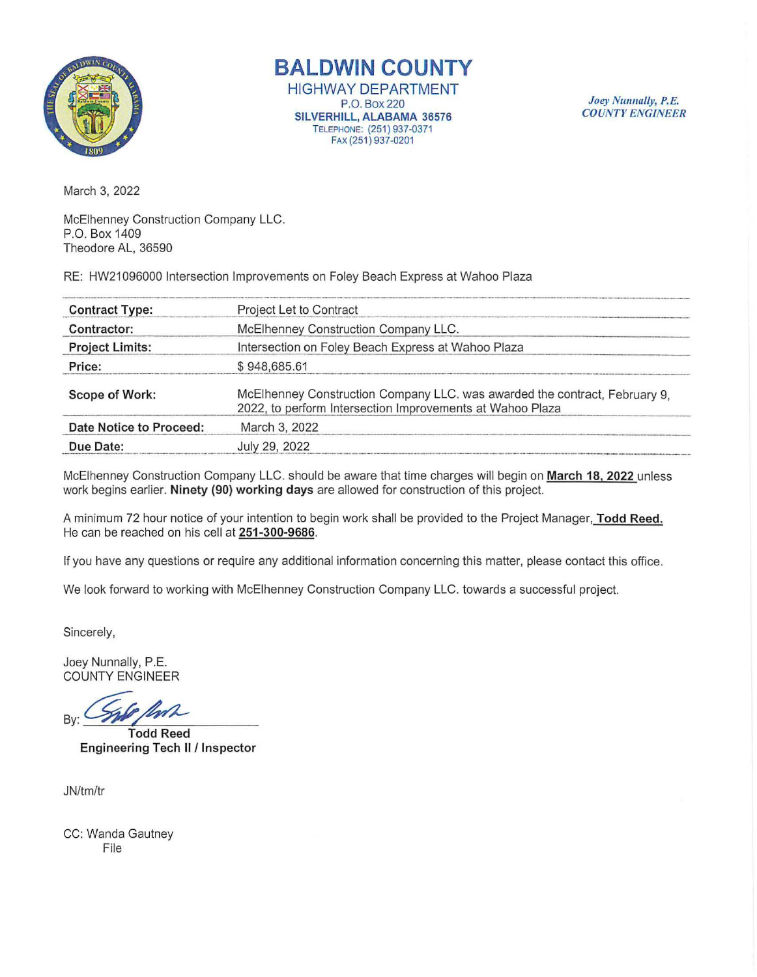

**BALDWIN COUNTY**  HIGHWAY **DEPARTMENT**  P.O. Box220 **SILVERHILL, ALABAMA** 36576 TELEPHONE: (251 ) 937-0371 FAX(251)937-0201

Joey Nunnally, P.E. COUNTY *ENGINEER* 

March 3, 2022

McElhenney Construction Company LLC. P.O. Box 1409 Theodore AL, 36590

RE: HW21096000 Intersection Improvements on Foley Beach Express at Wahoo Plaza

| <b>Contract Type:</b>   | Project Let to Contract                                                                                                                 |  |
|-------------------------|-----------------------------------------------------------------------------------------------------------------------------------------|--|
| Contractor:             | McElhenney Construction Company LLC.                                                                                                    |  |
| <b>Project Limits:</b>  | Intersection on Foley Beach Express at Wahoo Plaza                                                                                      |  |
| Price:                  | \$948,685.61                                                                                                                            |  |
| Scope of Work:          | McElhenney Construction Company LLC. was awarded the contract, February 9,<br>2022, to perform Intersection Improvements at Wahoo Plaza |  |
| Date Notice to Proceed: | March 3, 2022                                                                                                                           |  |
| Due Date:               | July 29, 2022                                                                                                                           |  |

McElhenney Construction Company LLC. should be aware that time charges will begin on **March 18, 2022** unless work begins earlier. **Ninety (90) working days** are allowed for construction of this project.

A minimum 72 hour notice of your intention to begin work shall be provided to the Project Manager, **Todd Reed.**  He can be reached on his cell at **251-300-9686.** 

If you have any questions or require any additional information concerning this matter, please contact this office.

We look forward to working with McElhenney Construction Company LLC. towards a successful project.

Sincerely,

Joey Nunnally, P.E. COUNTY ENGINEER

By: **WE Todd Reed** 

**Engineering Tech II/ Inspector** 

JN/tm/tr

CC: Wanda Gautney File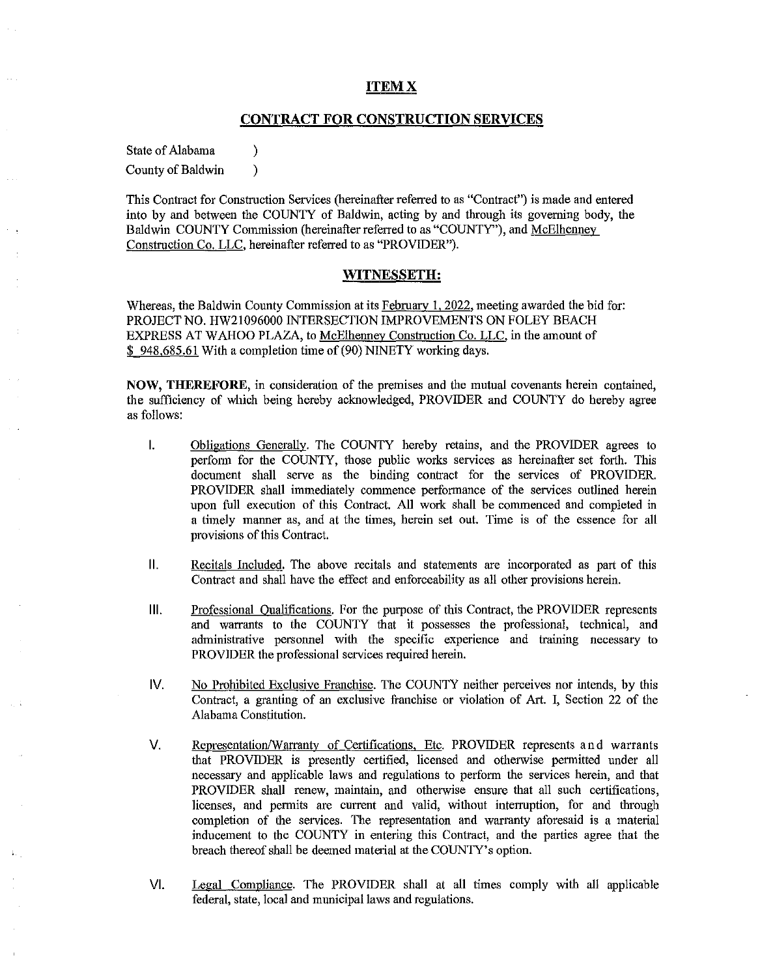## **ITEMX**

## **CONTRACT FOR CONSTRUCTION SERVICES**

State of Alabama (1)

County of Baldwin )

This Contract for Construction Services (hereinafter referred to as "Contract") is made and entered into by and between the COUNTY of Baldwin, acting by and through its governing body, the Baldwin COUNTY Commission (hereinafter referred to as "COUNTY"), and McElhenney Construction Co. LLC, hereinafter referred to as "PROVIDER").

## **WITNESSETH:**

Whereas, the Baldwin County Commission at its February 1, 2022, meeting awarded the bid for: PROJECT NO. HW21096000 INTERSECTION IMPROVEMENTS ON FOLEY BEACH EXPRESS AT WAHOO PLAZA, to McElhenney Construction Co. LLC, in the amount of \$ 948,685.61 With a completion time of (90) NINETY working days.

**NOW, THEREFORE,** in consideration of the premises and the mutual covenants herein contained, the sufficiency of which being hereby acknowledged, PROVIDER and COUNTY do hereby agree as follows:

- I. Obligations Generally. The COUNTY hereby retains, and the PROVIDER agrees to perform for the COUNTY, those public works services as hereinafter set forth. This document shall serve as the binding contract for the services of PROVIDER. PROVIDER shall immediately commence performance of the services outlined herein upon full execution of this Contract. All work shall be commenced and completed in a timely manner as, and at the times, herein set out. Time is of the essence for all provisions of this Contract.
- **11.** Recitals Included. The above recitals and statements are incorporated as part of this Contract and shall have the effect and enforceability as all other provisions herein.
- **Ill.** Professional Oualifications. For the purpose of this Contract, the PROVIDER represents and warrants to the COUNTY that it possesses the professional, technical, and administrative personnel with the specific experience and training necessary to PROVIDER the professional services required herein.
- IV. No Prohibited Exclusive Franchise. The COUNTY neither perceives nor intends, by this Contract, a granting of an exclusive franchise or violation of Art. I, Section 22 of the Alabama Constitution.
- V. Representation/Warrantv of Certifications, Etc. PROVIDER represents and warrants that PROVIDER is presently certified, licensed and otherwise pennitted under all necessary and applicable laws and regulations to perfonn the services herein, and that PROVIDER shall renew, maintain, and otherwise ensure that all such certifications, licenses, and permits are current and valid, without interruption, for and through completion of the services. The representation and warranty aforesaid is a material inducement to the COUNTY in entering this Contract, and the parties agree that the breach thereof shall be deemed material at the COUNTY's option.
- VI. Legal Compliance. The PROVIDER shall at all times comply with all applicable federal, state, local and municipal laws and regulations.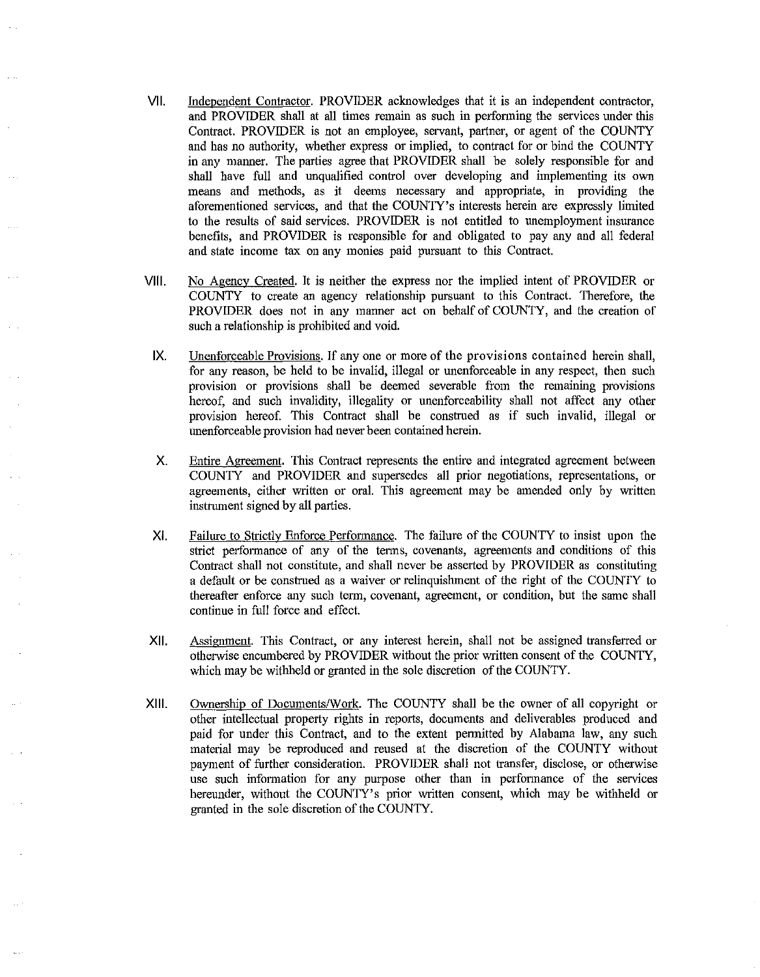- VII. Independent Contractor. PROVIDER acknowledges that it is an independent contractor, and PROVIDER shall at all times remain as such in perfonning the services under this Contract. PROVIDER is not an employee, servant, partner, or agent of the COUNTY and has no authority, whether express or implied, to contract for or bind the COUNTY in any manner. The parties agree that PROVIDER shall be solely responsible for and shall have full and unqualified control over developing and implementing its own means and methods, as it deems necessary and appropriate, in providing the aforementioned services, and that the COUNTY's interests herein are expressly limited to the results of said services. PROVIDER is not entitled to unemployment insurance benefits, and PROVIDER is responsible for and obligated to pay any and all federal and state income tax on any monies paid pursuant to this Contract.
- VIII. No Agency Created. It is neither the express nor the implied intent of PROVIDER or COUNTY to create an agency relationship pursuant to this Contract. Therefore, the PROVIDER does not in any manner act on behalf of COUNTY, and the creation of such a relationship is prohibited and void.
- IX. Unenforceable Provisions. If any one or more of the provisions contained herein shall, for any reason, be held to be invalid, illegal or unenforceable in any respect, then such provision or provisions shall be deemed severable from the remaining provisions hereof, and such invalidity, illegality or unenforceability shall not affect any other provision hereof. This Contract shall be construed as if such invalid, illegal or unenforceable provision had never been contained herein.
- X. Entire Agreement. This Contract represents the entire and integrated agreement between COUNTY and PROVIDER and supersedes all prior negotiations, representations, or agreements, either written or oral. This agreement may be amended only by written instrument signed by all parties.
- XI. Failure to Strictly Enforce Performance. The failure of the COUNTY to insist upon the strict performance of any of the terms, covenants, agreements and conditions of this Contract shall not constitute, and shall never be asserted by PROVIDER as constituting a default or be construed as a waiver or relinquishment of the right of the COUNTY to thereafter enforce any such term, covenant, agreement, or condition, but the same shall continue in full force and effect.
- XII. Assignment. This Contract, or any interest herein, shall not be assigned transferred or otherwise encumbered by PROVIDER without the prior written consent of the COUNTY, which may be withheld or granted in the sole discretion of the COUNTY.
- XIII. Ownership of Documents/Work. The COUNTY shall be the owner of all copyright or other intellectual property rights in reports, documents and deliverables produced and paid for under this Contract, and to the extent permitted by Alabama law, any such material may be reproduced and reused at the discretion of the COUNTY without payment of further consideration. PROVIDER shall not transfer, disclose, or otherwise use such information for any purpose other than in performance of the services hereunder, without the COUNTY's prior written consent, which may be withheld or granted in the sole discretion of the COUNTY.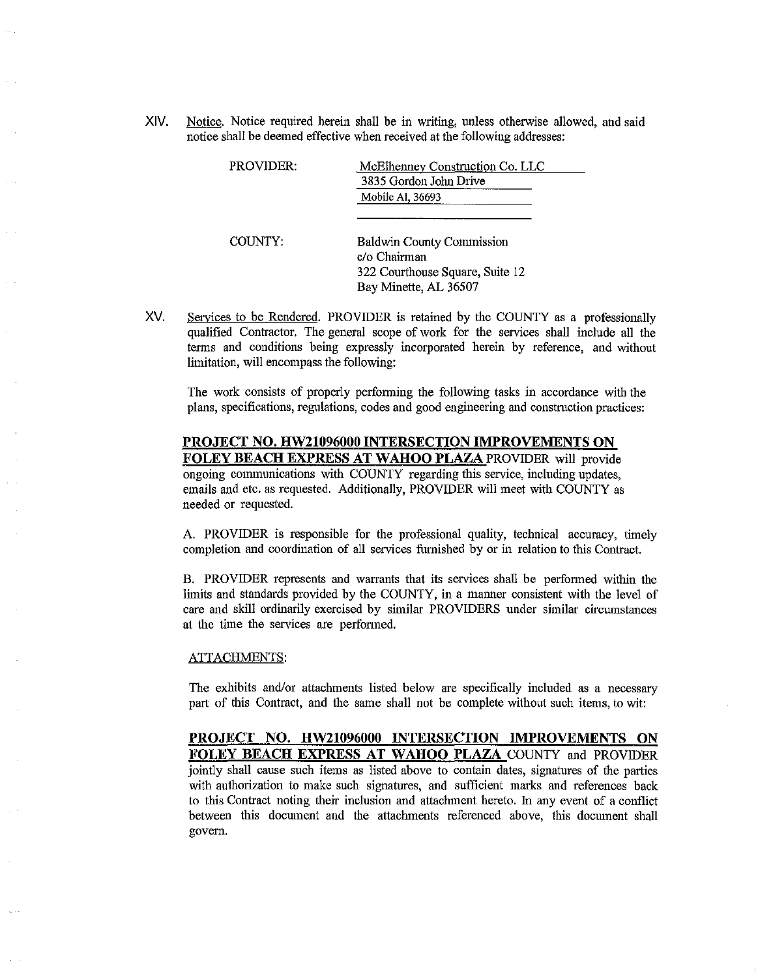XIV. Notice. Notice required herein shall be in writing, unless otherwise allowed, and said notice shall be deemed effective when received at the following addresses:

| <b>PROVIDER:</b> | McElhenney Construction Co. LLC<br>3835 Gordon John Drive                                                    |
|------------------|--------------------------------------------------------------------------------------------------------------|
|                  | Mobile Al, 36693                                                                                             |
| COUNTY:          | <b>Baldwin County Commission</b><br>c/o Chairman<br>322 Courthouse Square, Suite 12<br>Bay Minette, AL 36507 |

XV. Services to be Rendered. PROVIDER is retained by the COUNTY as a professionally qualified Contractor. The general scope of work for the services shall include all the terms and conditions being expressly incorporated herein by reference, and without limitation, will encompass the following:

The work consists of properly perfonning the following tasks in accordance with the plans, specifications, regulations, codes and good engineering and construction practices:

# **PROJECT NO. HW21096000 INTERSECTION IMPROVEMENTS ON**

**FOLEY BEACH EXPRESS AT WAHOO PLAZA** PROVIDER will provide ongoing communications with COUNTY regarding this service, including updates, emails and etc. as requested. Additionally, PROVIDER will meet with COUNTY as needed or requested.

A. PROVIDER is responsible for the professional quality, technical accuracy, timely completion and coordination of all services furnished by or in relation to this Contract.

B. PROVIDER represents and warrants that its services shall be perfonned within the limits and standards provided by the COUNTY, in a manner consistent with the level of care and skill ordinarily exercised by similar PROVIDERS under similar circumstances at the time the services are performed.

#### ATTACHMENTS:

The exhibits and/or attachments listed below are specifically included as a necessary part of this Contract, and the same shall not be complete without such items, to wit:

**PROJECT NO. HW21096000 INTERSECTION IMPROVEMENTS ON FOLEY BEACH EXPRESS AT WAHOO PLAZA** COUNTY and PROVIDER jointly shall cause such items as listed above to contain dates, signatures of the parties with authorization to make such signatures, and sufficient marks and references back to this Contract noting their inclusion and attaclnnent hereto. In any event of a conflict between this document and the attaclnnents referenced above, this document shall govern.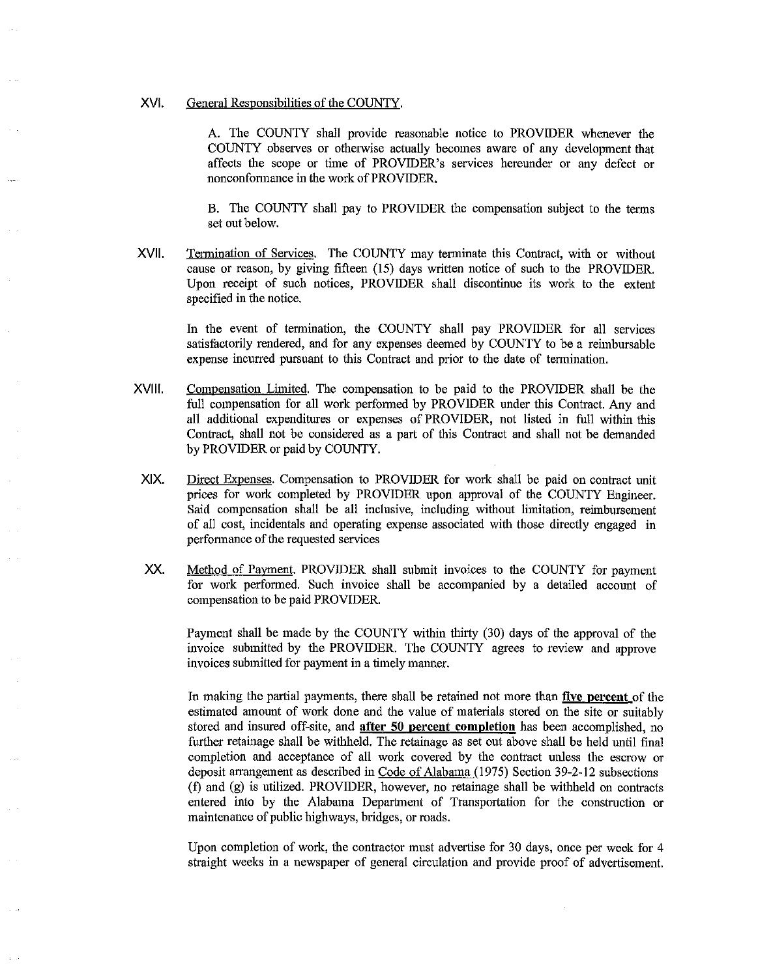#### XVI. General Responsibilities of the COUNTY.

A. The COUNTY shall provide reasonable notice to PROVIDER whenever the COUNTY observes or otherwise actually becomes aware of any development that affects the scope or time of PROVIDER's services hereunder or any defect or nonconfonnance in the work of PROVIDER.

B. The COUNTY shall pay to PROVIDER the compensation subject to the tenns set out below.

XVII. Termination of Services. The COUNTY may terminate this Contract, with or without cause or reason, by giving fifteen (15) days written notice of such to the PROVIDER. Upon receipt of such notices, PROVIDER shall discontinue its work to the extent specified in the notice.

In the event of termination, the COUNTY shall pay PROVIDER for all services satisfactorily rendered, and for any expenses deemed by COUNTY to be a reimbursable expense incurred pursuant to this Contract and prior to the date of termination.

- XVIII. Compensation Limited. The compensation to be paid to the PROVIDER shall be the full compensation for all work perfonned by PROVIDER under this Contract. Any and all additional expenditures or expenses of PROVIDER, not listed in full within this Contract, shall not be considered as a part of this Contract and shall not be demanded by PROVIDER or paid by COUNTY.
- XIX. Direct Expenses. Compensation to PROVIDER for work shall be paid on contract unit prices for work completed by PROVIDER upon approval of the COUNTY Engineer. Said compensation shall be all inclusive, including without limitation, reimbursement of all cost, incidentals and operating expense associated with those directly engaged in perfonnance of the requested services
- xx. Method of Pavment. PROVIDER shall submit invoices to the COUNTY for payment for work perfonned. Such invoice shall be accompanied by a detailed account of compensation to be paid PROVIDER.

Payment shall be made by the COUNTY within thirty (30) days of the approval of the invoice submitted by the PROVIDER. The COUNTY agrees to review and approve invoices submitted for payment in a timely manner.

In making the partial payments, there shall be retained not more than **five percent** of the estimated amount of work done and the value of materials stored on the site or suitably stored and insured off-site, and **after 50 percent completion** has been accomplished, no further retainage shall be withheld. The retainage as set out above shall be held until final completion and acceptance of all work covered by the contract unless the escrow or deposit arrangement as described in Code of Alabama (1975) Section 39-2-12 subsections (f) and (g) is utilized. PROVIDER, however, no retainage shall be withheld on contracts entered into by the Alabama Department of Transportation for the construction or maintenance of public highways, bridges, or roads.

Upon completion of work, the contractor must advertise for 30 days, once per week for 4 straight weeks in a newspaper of general circulation and provide proof of advertisement.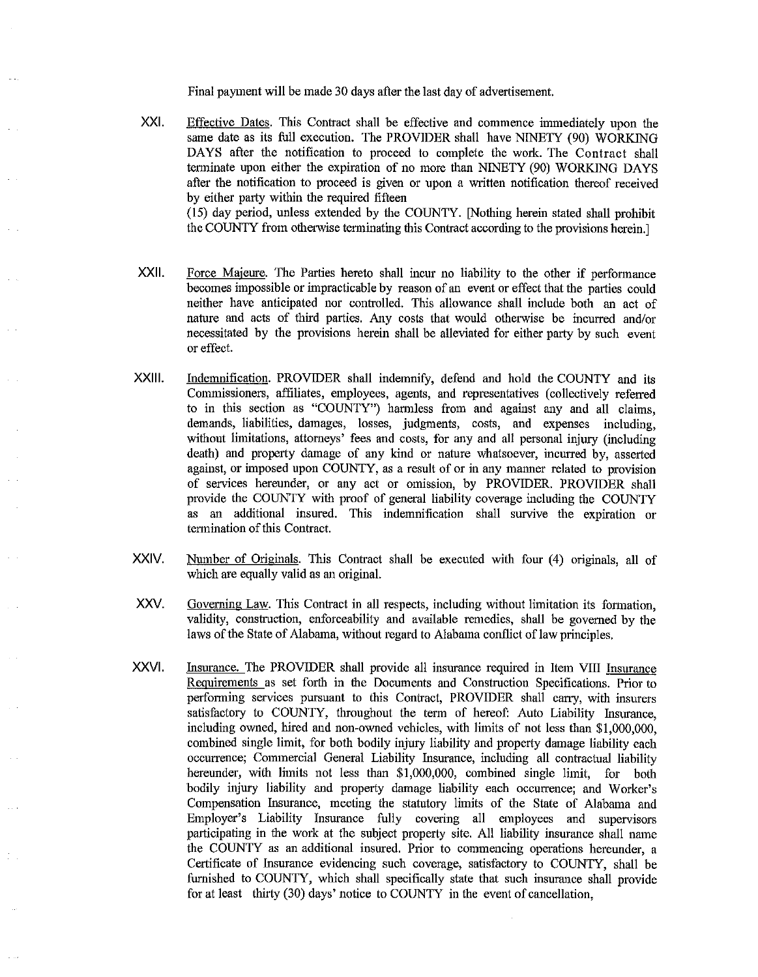Final payment will be made 30 days after the last day of advertisement.

- XXI. Effective Dates. This Contract shall be effective and commence immediately upon the same date as its full execution. The PROVIDER shall have NINETY (90) WORKING DAYS after the notification to proceed to complete the work. The Contract shall terminate upon either the expiration of no more than NINETY (90) WORKING DAYS after the notification to proceed is given or upon a written notification thereof received by either party within the required fifteen (15) day period, unless extended by the COUNTY. [Nothing herein stated shall prohibit the COUNTY from otherwise terminating this Contract according to the provisions herein.]
- XXll. Force Majeure. The Parties hereto shall incur no liability to the other if perfonnance becomes impossible or impracticable by reason of an event or effect that the parties could neither have anticipated nor controlled. This allowance shall include both an act of nature and acts of third parties. Any costs that would otherwise be incurred and/or necessitated by the provisions herein shall be alleviated for either party by snch event or effect.
- XXlll. Indemnification. PROVIDER shall indemnify, defend and hold the COUNTY and its Commissioners, affiliates, employees, agents, and representatives (collectively referred to in this section as "COUNTY") hannless from and against any and all claims, demands, liabilities, damages, losses, judgments, costs, and expenses including, without limitations, attorneys' fees and costs, for any and all personal injury (including death) and property damage of any kind or nature whatsoever, incurred by, asserted against, or imposed upon COUNTY, as a result of or in any manner related to provision of services hereunder, or any act or omission, by PROVIDER. PROVIDER shall provide the COUNTY with proof of general liability coverage including the COUNTY as an additional insured. This indemnification shall survive the expiration or tennination of this Contract.
- XXIV. Number of Originals. This Contract shall be executed with four (4) originals, all of which are equally valid as an original.
- xxv. Governing Law. This Contract in all respects, including without limitation its fonuation, validity, construction, enforceability and available remedies, shall be governed by the laws of the State of Alabama, without regard to Alabama conflict of law principles.
- XXVI. Insurance. The PROVIDER shall provide all insurance required in Item VIII Insurance Requirements as set forth in the Documents and Construction Specifications. Prior to performing services pursuant to this Contract, PROVIDER shall carry, with insurers satisfactory to COUNTY, throughout the term of hereof: Auto Liability Insurance, including owned, hired and non-owned vehicles, with limits of not less than \$1,000,000, combined single limit, for both bodily injury liability and property damage liability each occurrence; Commercial General Liability Insurance, including all contractual liability hereunder, with limits not less than \$1,000,000, combined single limit, for both bodily injury liability and property damage liability each occurrence; and Worker's Compensation Insurance, meeting the statutory limits of the State of Alabama and Employer's Liability Insurance fully covering all employees and supervisors participating in the work at the subject property site. All liability insurance shall name the COUNTY as an additional insured. Prior to commencing operations hereunder, a Certificate of Insurance evidencing such coverage, satisfactory to COUNTY, shall be furnished to COUNTY, which shall specifically state that such insurance shall provide for at least thirty (30) days' notice to COUNTY in the event of cancellation,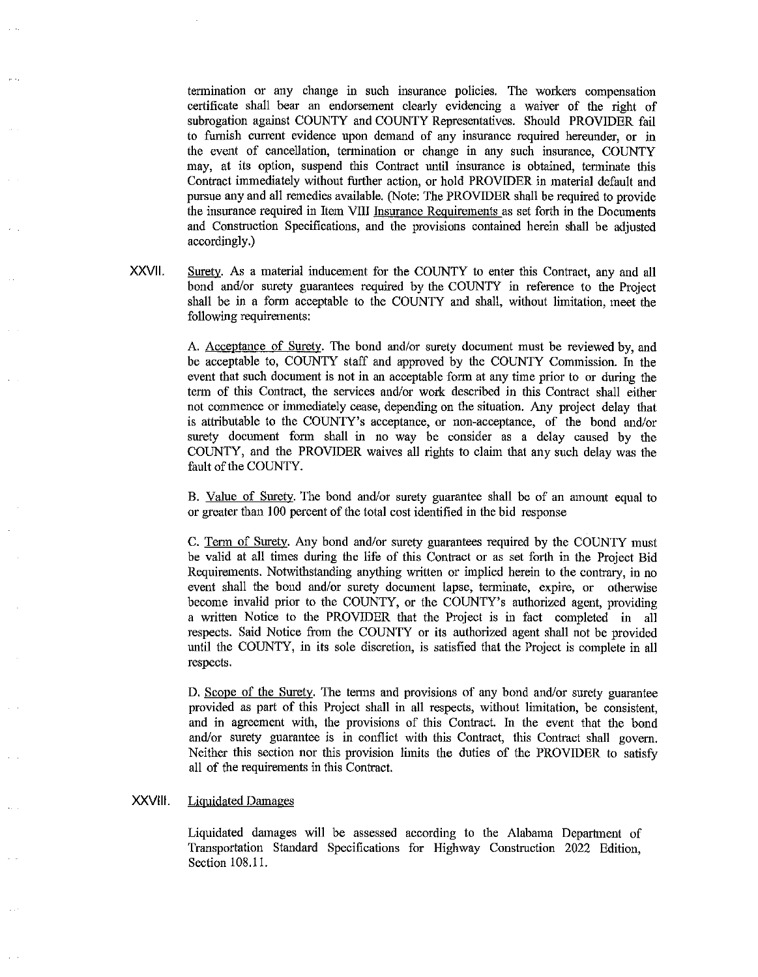tennination or any change in such insurance policies. The workers compensation certificate shall bear an endorsement clearly evideocing a waiver of the right of subrogation against COUNTY and COUNTY Representatives. Should PROVIDER fail to furnish current evidence upon demand of any insurance required hereunder, or in the event of cancellation, termination or change in any such insurance, COUNTY may, at its option, suspend this Contract until insurance is obtained, tenninate this Contract immediately without further action, or hold PROVIDER in material default and pursue any and all remedies available. (Note: The PROVIDER shall be required to provide the insurance required in Item VIII Insurance Requirements as set forth in the Documents and Construction Specifications, and the provisions contained herein shall be adjusted accordingly.)

XXVll. Surety. As a material inducement for the COUNTY to enter this Contract, any and all bond and/or surety guarantees required by the COUNTY in reference to the Project shall be in a fonn acceptable to the COUNTY and shall, without limitation, meet the following requirements:

> A. Acceptance of Surety. The bond and/or surety document must be reviewed by, and be acceptable to, COUNTY staff and approved by the COUNTY Commission. In the event that such document is not in an acceptable form at any time prior to or during the tenn of this Contract, the services and/or work described in this Contract shall either not commence or immediately cease, depending on the situation. Any project delay that is attributable to the COUNTY's acceptance, or non-acceptance, of the bond and/or surety docmnent fonn shall in no way be consider as a delay caused by the COUNTY, and the PROVIDER waives all rights to claim that any such delay was the fault of the COUNTY.

> B. Value of Surety. The bond and/or surety guarantee shall be of an amount equal to or greater than 100 percent of the total cost identified in the bid response

> C. Tenn of Surety. Any bond and/or surety guarantees required by the COUNTY must be valid at all times during the life of this Contract or as set forth in the Project Bid Requirements. Notwithstanding anything written or implied herein to the contrary, in no event shall the bond and/or surety document lapse, terminate, expire, or otherwise become invalid prior to the COUNTY, or the COUNTY's authorized agent, providing a written Notice to the PROVIDER that the Project is in fact completed in all respects. Said Notice from the COUNTY or its authorized agent shall not be provided until the COUNTY, in its sole discretion, is satisfied that the Project is complete in all respects.

> D. Scope of the Surety. The terms and provisions of any bond and/or surety guarantee provided as part of this Project shall in all respects, without limitation, be consistent, and in agreement with, the provisions of this Contract. In the event that the bond and/or surety guarantee is in conflict with this Contract, this Contract shall govern. Neither this section nor this provision limits the duties of the PROVIDER to satisfy all of the requirements in this Contract.

### XXVIII. Liquidated Damages

Liquidated damages will be assessed according to the Alabama Department of Transportation Standard Specifications for Highway Construction 2022 Edition, Section 108.11.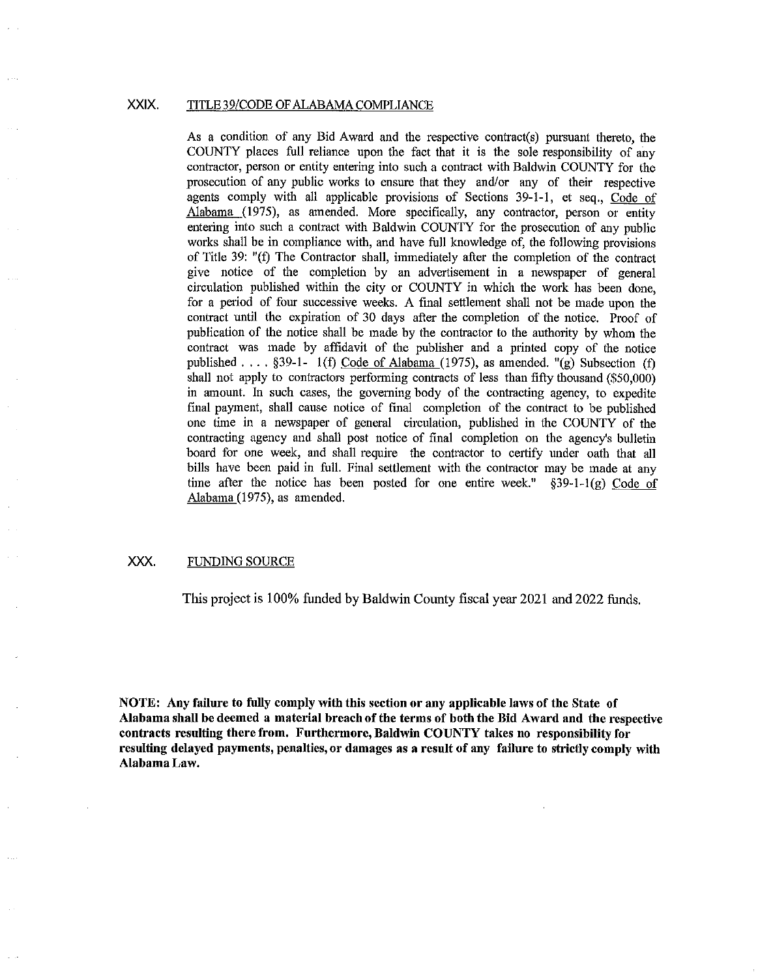#### XXIX. TITLE 39/CODE OF ALABAMA COMPLIANCE

As a condition of any Bid Award and the respective contract(s) pursuant thereto, the COUNTY places full reliance upon the fact that it is the sole responsibility of any contractor, person or entity entering into such a contract with Baldwin COUNTY for the prosecution of any public works to ensure that they and/or any of their respective agents comply with all applicable provisions of Sections 39-1-1, et seq., Code of Alabama (1975), as amended. More specifically, any contractor, person or entity entering into such a contract with Baldwin COUNTY for the prosecution of any public works shall be in compliance with, and have full knowledge of, the following provisions of Title 39: "(f) The Contractor shall, immediately after the completion of the contract give notice of the completion by an advertisement in a newspaper of general circulation published within the city or COUNTY in which the work has been done, for a period of four successive weeks. A final settlement shall not be made upon the contract until the expiration of 30 days after the completion of the notice. Proof of publication of the notice shall be made by the contractor to the authority by whom the contract was made by affidavit of the publisher and a printed copy of the notice published . . . . §39-1- 1(f) Code of Alabama (1975), as amended. "(g) Subsection (f) shall not apply to contractors performing contracts of less than fifty thousand (\$50,000) in amount. In such cases, the governing body of the contracting agency, to expedite final payment, shall cause notice of final completion of the contract to be published one time in a newspaper of general circulation, published in the COUNTY of the contracting agency and shall post notice of final completion on the agency's bulletin board for one week, and shall require the contractor to certify under oath that all bills have been paid in full. Final settlement with the contractor may be made at any time after the notice has been posted for one entire week."  $\S$ 39-1-1 $(g)$  Code of Alabama (1975), as amended.

#### XXX. FUNDING SOURCE

This project is I 00% funded by Baldwin County fiscal year 2021 and 2022 funds.

**NOTE: Any failure to fully comply with this section or any applicable laws of the State of Alabama shall be deemed a material breach of the terms of both the Bid Award and the respective contracts resulting there from. Furthermore, Baldwin COUNTY takes no responsibility for resulting delayed payments, penalties, or damages as a result of any failure to strictly comply with Alabama Law.**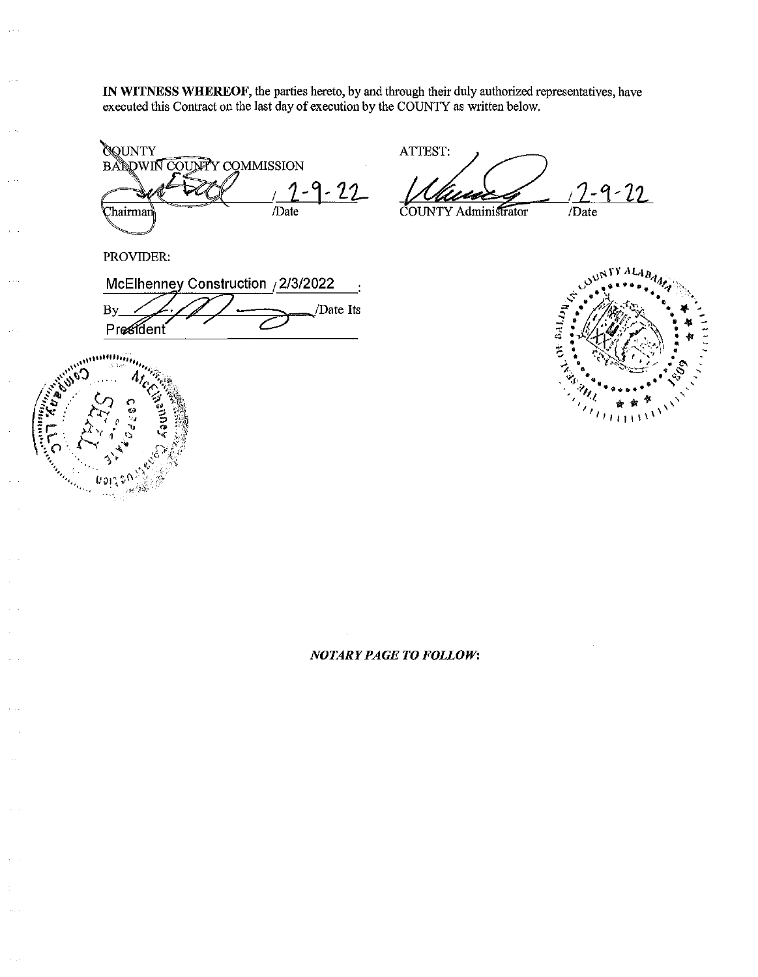**IN WITNESS WHEREOF,** the parties hereto, by and through their duly authorized representatives, have executed this Contract on the last day of execution by the COUNTY as written below.

**OQUNTY BALDWIN COUNTY COMMISSION**  $9 - 22$ /Date ∑hairman ∖

ATTEST:  $2 - 9 - 22$ /Date

COUNTY Administrator

PROVIDER:

McElhenney Construction / 2/3/2022 /Date Its By

President



LOUN  $\begin{array}{ll} \mathcal{N} & \text{on } \mathbb{R} \cup \{0\} \setminus \mathcal{N} \\ \mathcal{N} & \text{on } \mathbb{R} \times \mathbb{R} \end{array}$  $I + I + I$ 

**XYALA** 

## *NOTARY PAGE TO FOLLOW:*